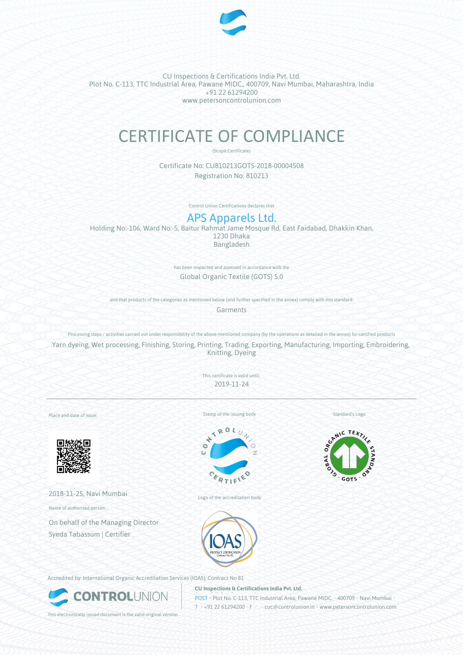

CU Inspections & Certifications India Pvt. Ltd. Plot No. C-113, TTC Industrial Area, Pawane MIDC., 400709, Navi Mumbai, Maharashtra, India +91 22 61294200 www.petersoncontrolunion.com

# CERTIFICATE OF COMPLIANCE

(Scope Certificate)

Certificate No: CU810213GOTS-2018-00004508 Registration No: 810213

Control Union Certifications declares that

# APS Apparels Ltd.

Holding No:-106, Ward No:-5, Baitur Rahmat Jame Mosque Rd, East Faidabad, Dhakkin Khan, 1230 Dhaka Bangladesh

> has been inspected and assessed in accordance with the Global Organic Textile (GOTS) 5.0

and that products of the categories as mentioned below (and further specified in the annex) comply with this standard:

**Garments** 

Processing steps / activities carried out under responsibility of the above-mentioned company (by the operations as detailed in the annex) for certified products

Yarn dyeing, Wet processing, Finishing, Storing, Printing, Trading, Exporting, Manufacturing, Importing, Embroidering, Knitting, Dyeing

> This certificate is valid until: 2019-11-24

Place and date of issue:



2018-11-25, Navi Mumbai

Name of authorised person:

On behalf of the Managing Director Syeda Tabassum | Certifier

Stamp of the issuing body



Logo of the accreditation body

Standard's Logo



Accredited by: International Organic Accreditation Services (IOAS); Contract No 81



**CU Inspections & Certifications India Pvt. Ltd.**

**POST • Plot No. C-113, TTC Industrial Area, Pawane MIDC. • 400709 • Navi Mumbai** T • +91 22 61294200 • F • • cuc@controlunion.in • www.petersoncontrolunion.com

This electronically issued document is the valid original version.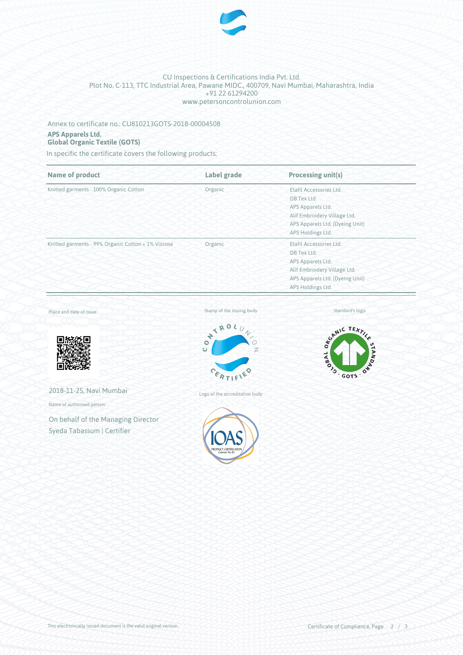

### CU Inspections & Certifications India Pvt. Ltd. Plot No. C-113, TTC Industrial Area, Pawane MIDC., 400709, Navi Mumbai, Maharashtra, India +91 22 61294200 www.petersoncontrolunion.com

### Annex to certificate no.: CU810213GOTS-2018-00004508

### **APS Apparels Ltd.**

## **Global Organic Textile (GOTS)**

In specific the certificate covers the following products:

| <b>Name of product</b>                             | Label grade | <b>Processing unit(s)</b>       |  |
|----------------------------------------------------|-------------|---------------------------------|--|
| Knitted garments - 100% Organic Cotton             | Organic     | Etafil Accessories Ltd.         |  |
|                                                    |             | DB Tex Ltd.                     |  |
|                                                    |             | APS Apparels Ltd.               |  |
|                                                    |             | Alif Embroidery Village Ltd.    |  |
|                                                    |             | APS Apparels Ltd. (Dyeing Unit) |  |
|                                                    |             | APS Holdings Ltd.               |  |
| Knitted garments - 99% Organic Cotton + 1% Viscose | Organic     | Etafil Accessories Ltd.         |  |
|                                                    |             | DB Tex Ltd.                     |  |
|                                                    |             | APS Apparels Ltd.               |  |
|                                                    |             | Alif Embroidery Village Ltd.    |  |
|                                                    |             | APS Apparels Ltd. (Dyeing Unit) |  |
|                                                    |             | APS Holdings Ltd.               |  |

Place and date of issue:



2018-11-25, Navi Mumbai

Name of authorised person:

On behalf of the Managing Director Syeda Tabassum | Certifier



Logo of the accreditation body



Standard's logo